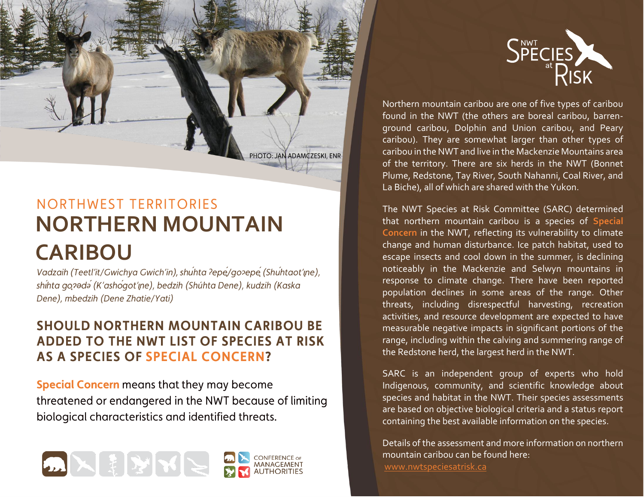

# NORTHWEST TERRITORIES **NORTHERN MOUNTAIN CARIBOU**

*Vadzaih (Teetl'it/Gwichya Gwich'in), shuhta ?epe/go?epe (Shuhtaot'ine), shihta go?ədə (K'ashoqot'ıne), bedzih (Shúhta Dene), kudzih (Kaska* Dene), mbedzih (Dene Zhatie/Yati)

### **SHOULD NORTHERN MOUNTAIN CARIBOU BE** ADDED TO THE NWT LIST OF SPECIES AT RISK **AS A SPECIES OF SPECIAL CONCERN?**

**Special Concern** means that they may become threatened or endangered in the NWT because of limiting biological characteristics and identified threats.





Northern mountain caribou are one of five types of caribou found in the NWT (the others are boreal caribou, barrenground caribou, Dolphin and Union caribou, and Peary caribou). They are somewhat larger than other types of caribou in the NWT and live in the Mackenzie Mountains area of the territory. There are six herds in the NWT (Bonnet Plume, Redstone, Tay River, South Nahanni, Coal River, and La Biche), all of which are shared with the Yukon.

The NWT Species at Risk Committee (SARC) determined that northern mountain caribou is a species of **Special**  Concern in the NWT, reflecting its vulnerability to climate change and human disturbance. Ice patch habitat, used to escape insects and cool down in the summer, is declining noticeably in the Mackenzie and Selwyn mountains in response to climate change. There have been reported population declines in some areas of the range. Other threats, including disrespectful harvesting, recreation activities, and resource development are expected to have measurable negative impacts in significant portions of the range, including within the calving and summering range of the Redstone herd, the largest herd in the NWT.

SARC is an independent group of experts who hold Indigenous, community, and scientific knowledge about species and habitat in the NWT. Their species assessments are based on objective biological criteria and a status report containing the best available information on the species.

Details of the assessment and more information on northern mountain caribou can be found here: [www.nwtspeciesatrisk.ca](http://www.nwtspeciesatrisk.ca/)